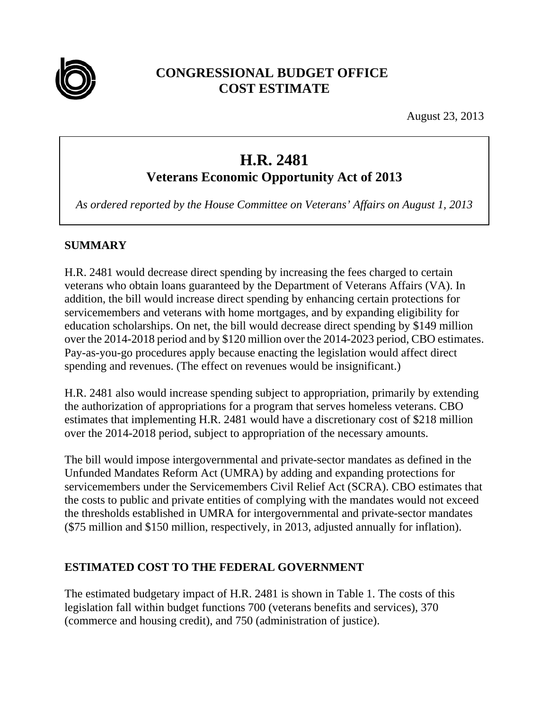

# **CONGRESSIONAL BUDGET OFFICE COST ESTIMATE**

August 23, 2013

# **H.R. 2481**

**Veterans Economic Opportunity Act of 2013** 

*As ordered reported by the House Committee on Veterans' Affairs on August 1, 2013* 

### **SUMMARY**

H.R. 2481 would decrease direct spending by increasing the fees charged to certain veterans who obtain loans guaranteed by the Department of Veterans Affairs (VA). In addition, the bill would increase direct spending by enhancing certain protections for servicemembers and veterans with home mortgages, and by expanding eligibility for education scholarships. On net, the bill would decrease direct spending by \$149 million over the 2014-2018 period and by \$120 million over the 2014-2023 period, CBO estimates. Pay-as-you-go procedures apply because enacting the legislation would affect direct spending and revenues. (The effect on revenues would be insignificant.)

H.R. 2481 also would increase spending subject to appropriation, primarily by extending the authorization of appropriations for a program that serves homeless veterans. CBO estimates that implementing H.R. 2481 would have a discretionary cost of \$218 million over the 2014-2018 period, subject to appropriation of the necessary amounts.

The bill would impose intergovernmental and private-sector mandates as defined in the Unfunded Mandates Reform Act (UMRA) by adding and expanding protections for servicemembers under the Servicemembers Civil Relief Act (SCRA). CBO estimates that the costs to public and private entities of complying with the mandates would not exceed the thresholds established in UMRA for intergovernmental and private-sector mandates (\$75 million and \$150 million, respectively, in 2013, adjusted annually for inflation).

### **ESTIMATED COST TO THE FEDERAL GOVERNMENT**

The estimated budgetary impact of H.R. 2481 is shown in Table 1. The costs of this legislation fall within budget functions 700 (veterans benefits and services), 370 (commerce and housing credit), and 750 (administration of justice).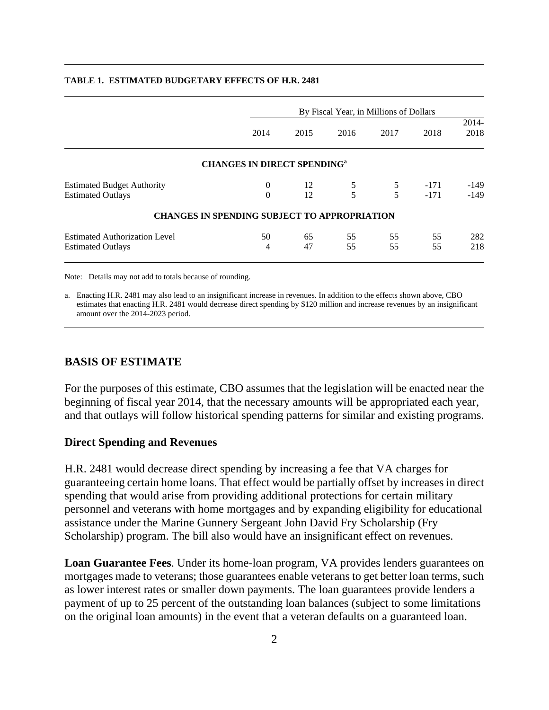|                                      |                                                     | By Fiscal Year, in Millions of Dollars |      |      |        |               |  |  |  |  |
|--------------------------------------|-----------------------------------------------------|----------------------------------------|------|------|--------|---------------|--|--|--|--|
|                                      | 2014                                                | 2015                                   | 2016 | 2017 | 2018   | 2014-<br>2018 |  |  |  |  |
|                                      | <b>CHANGES IN DIRECT SPENDING</b> <sup>a</sup>      |                                        |      |      |        |               |  |  |  |  |
| <b>Estimated Budget Authority</b>    | $\theta$                                            | 12                                     | 5    | 5    | $-171$ | $-149$        |  |  |  |  |
| <b>Estimated Outlays</b>             | $\mathbf{0}$                                        | 12                                     | 5    | 5    | $-171$ | $-149$        |  |  |  |  |
|                                      | <b>CHANGES IN SPENDING SUBJECT TO APPROPRIATION</b> |                                        |      |      |        |               |  |  |  |  |
| <b>Estimated Authorization Level</b> | 50                                                  | 65                                     | 55   | 55   | 55     | 282           |  |  |  |  |
| <b>Estimated Outlays</b>             | 4                                                   | 47                                     | 55   | 55   | 55     | 218           |  |  |  |  |
|                                      |                                                     |                                        |      |      |        |               |  |  |  |  |

#### **TABLE 1. ESTIMATED BUDGETARY EFFECTS OF H.R. 2481**

Note: Details may not add to totals because of rounding.

a. Enacting H.R. 2481 may also lead to an insignificant increase in revenues. In addition to the effects shown above, CBO estimates that enacting H.R. 2481 would decrease direct spending by \$120 million and increase revenues by an insignificant amount over the 2014-2023 period.

### **BASIS OF ESTIMATE**

For the purposes of this estimate, CBO assumes that the legislation will be enacted near the beginning of fiscal year 2014, that the necessary amounts will be appropriated each year, and that outlays will follow historical spending patterns for similar and existing programs.

### **Direct Spending and Revenues**

H.R. 2481 would decrease direct spending by increasing a fee that VA charges for guaranteeing certain home loans. That effect would be partially offset by increases in direct spending that would arise from providing additional protections for certain military personnel and veterans with home mortgages and by expanding eligibility for educational assistance under the Marine Gunnery Sergeant John David Fry Scholarship (Fry Scholarship) program. The bill also would have an insignificant effect on revenues.

**Loan Guarantee Fees**. Under its home-loan program, VA provides lenders guarantees on mortgages made to veterans; those guarantees enable veterans to get better loan terms, such as lower interest rates or smaller down payments. The loan guarantees provide lenders a payment of up to 25 percent of the outstanding loan balances (subject to some limitations on the original loan amounts) in the event that a veteran defaults on a guaranteed loan.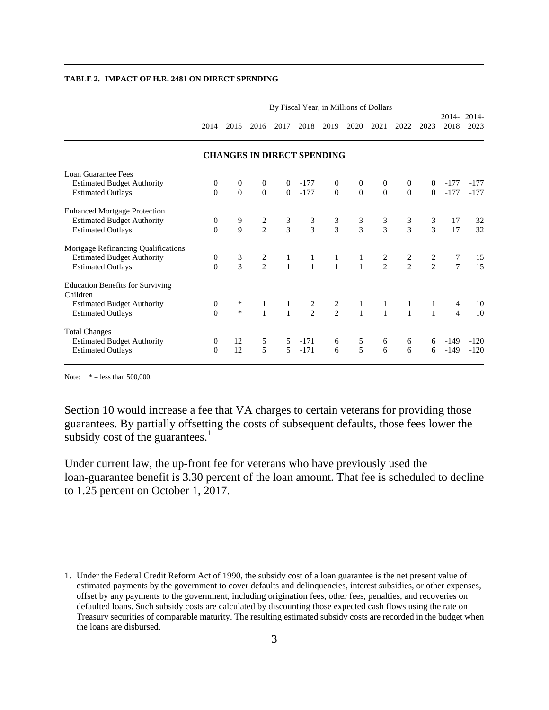|                                                     | By Fiscal Year, in Millions of Dollars |                  |                  |                                   |               |                |                |                  |                  |                |                 |               |
|-----------------------------------------------------|----------------------------------------|------------------|------------------|-----------------------------------|---------------|----------------|----------------|------------------|------------------|----------------|-----------------|---------------|
|                                                     | 2014                                   | 2015             | 2016             | 2017                              | 2018          | 2019           | 2020           | 2021             | 2022             | 2023           | $2014-$<br>2018 | 2014-<br>2023 |
|                                                     |                                        |                  |                  | <b>CHANGES IN DIRECT SPENDING</b> |               |                |                |                  |                  |                |                 |               |
| Loan Guarantee Fees                                 |                                        |                  |                  |                                   |               |                |                |                  |                  |                |                 |               |
| <b>Estimated Budget Authority</b>                   | $\boldsymbol{0}$                       | $\theta$         | $\mathbf{0}$     | $\overline{0}$                    | $-177$        | $\mathbf{0}$   | $\overline{0}$ | $\mathbf{0}$     | $\mathbf{0}$     | $\overline{0}$ | $-177$          | -177          |
| <b>Estimated Outlays</b>                            | $\boldsymbol{0}$                       | $\boldsymbol{0}$ | $\boldsymbol{0}$ | $\mathbf{0}$                      | $-177$        | $\overline{0}$ | $\mathbf{0}$   | $\boldsymbol{0}$ | $\boldsymbol{0}$ | $\mathbf{0}$   | $-177$          | $-177$        |
| <b>Enhanced Mortgage Protection</b>                 |                                        |                  |                  |                                   |               |                |                |                  |                  |                |                 |               |
| <b>Estimated Budget Authority</b>                   | $\boldsymbol{0}$                       | 9                |                  |                                   |               |                |                |                  |                  | 3              | 17              | 32            |
| <b>Estimated Outlays</b>                            | $\theta$                               | $\overline{9}$   | $\frac{2}{2}$    | $\frac{3}{3}$                     | $\frac{3}{3}$ | $\frac{3}{3}$  | $\frac{3}{3}$  | $\frac{3}{3}$    | $\frac{3}{3}$    | 3              | 17              | 32            |
| Mortgage Refinancing Qualifications                 |                                        |                  |                  |                                   |               |                |                |                  |                  |                |                 |               |
| <b>Estimated Budget Authority</b>                   | $\boldsymbol{0}$                       |                  |                  |                                   |               |                | $\mathbf{1}$   |                  |                  |                | 7               | 15            |
| <b>Estimated Outlays</b>                            | $\theta$                               | $\frac{3}{3}$    | $\frac{2}{2}$    | $\frac{1}{1}$                     | $\frac{1}{1}$ | $\frac{1}{1}$  | $\mathbf{1}$   | $\frac{2}{2}$    | $\frac{2}{2}$    | $\frac{2}{2}$  | $\overline{7}$  | 15            |
| <b>Education Benefits for Surviving</b><br>Children |                                        |                  |                  |                                   |               |                |                |                  |                  |                |                 |               |
| <b>Estimated Budget Authority</b>                   | $\overline{0}$                         | $\ast$           | 1                | $\mathbf{1}$                      |               |                | 1              | 1                | 1                | 1              | 4               | 10            |
| <b>Estimated Outlays</b>                            | $\theta$                               | $\ast$           | $\mathbf{1}$     | $\mathbf{1}$                      | $\frac{2}{2}$ | $\frac{2}{2}$  | $\mathbf{1}$   | $\overline{1}$   | $\mathbf{1}$     | $\mathbf{1}$   | $\overline{4}$  | 10            |
| <b>Total Changes</b>                                |                                        |                  |                  |                                   |               |                |                |                  |                  |                |                 |               |
| <b>Estimated Budget Authority</b>                   | $\overline{0}$                         | 12               | 5                | 5                                 | $-171$        | 6              | 5              | 6                | 6                | 6              | -149            | $-120$        |
| <b>Estimated Outlays</b>                            | $\theta$                               | 12               | 5                | 5                                 | $-171$        | 6              | $\overline{5}$ | 6                | 6                | 6              | $-149$          | $-120$        |

#### **TABLE 2. IMPACT OF H.R. 2481 ON DIRECT SPENDING**

 $\overline{a}$ 

Section 10 would increase a fee that VA charges to certain veterans for providing those guarantees. By partially offsetting the costs of subsequent defaults, those fees lower the subsidy cost of the guarantees. $<sup>1</sup>$ </sup>

Under current law, the up-front fee for veterans who have previously used the loan-guarantee benefit is 3.30 percent of the loan amount. That fee is scheduled to decline to 1.25 percent on October 1, 2017.

<sup>1.</sup> Under the Federal Credit Reform Act of 1990, the subsidy cost of a loan guarantee is the net present value of estimated payments by the government to cover defaults and delinquencies, interest subsidies, or other expenses, offset by any payments to the government, including origination fees, other fees, penalties, and recoveries on defaulted loans. Such subsidy costs are calculated by discounting those expected cash flows using the rate on Treasury securities of comparable maturity. The resulting estimated subsidy costs are recorded in the budget when the loans are disbursed.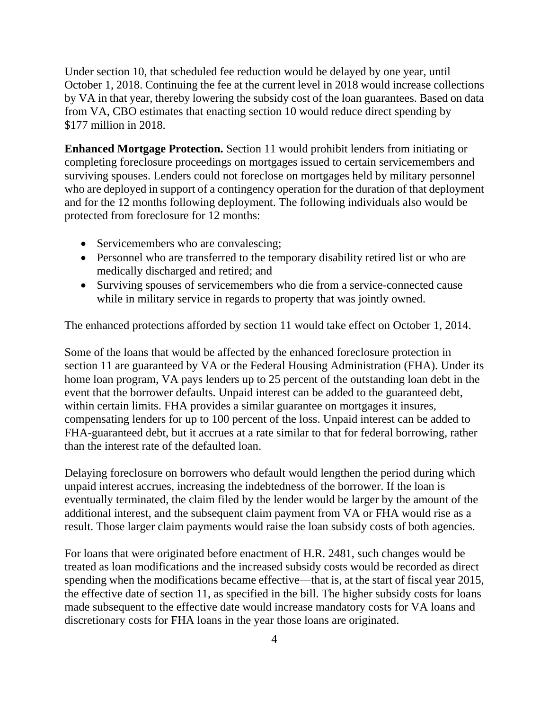Under section 10, that scheduled fee reduction would be delayed by one year, until October 1, 2018. Continuing the fee at the current level in 2018 would increase collections by VA in that year, thereby lowering the subsidy cost of the loan guarantees. Based on data from VA, CBO estimates that enacting section 10 would reduce direct spending by \$177 million in 2018.

**Enhanced Mortgage Protection.** Section 11 would prohibit lenders from initiating or completing foreclosure proceedings on mortgages issued to certain servicemembers and surviving spouses. Lenders could not foreclose on mortgages held by military personnel who are deployed in support of a contingency operation for the duration of that deployment and for the 12 months following deployment. The following individuals also would be protected from foreclosure for 12 months:

- Servicemembers who are convalescing;
- Personnel who are transferred to the temporary disability retired list or who are medically discharged and retired; and
- Surviving spouses of servicemembers who die from a service-connected cause while in military service in regards to property that was jointly owned.

The enhanced protections afforded by section 11 would take effect on October 1, 2014.

Some of the loans that would be affected by the enhanced foreclosure protection in section 11 are guaranteed by VA or the Federal Housing Administration (FHA). Under its home loan program, VA pays lenders up to 25 percent of the outstanding loan debt in the event that the borrower defaults. Unpaid interest can be added to the guaranteed debt, within certain limits. FHA provides a similar guarantee on mortgages it insures, compensating lenders for up to 100 percent of the loss. Unpaid interest can be added to FHA-guaranteed debt, but it accrues at a rate similar to that for federal borrowing, rather than the interest rate of the defaulted loan.

Delaying foreclosure on borrowers who default would lengthen the period during which unpaid interest accrues, increasing the indebtedness of the borrower. If the loan is eventually terminated, the claim filed by the lender would be larger by the amount of the additional interest, and the subsequent claim payment from VA or FHA would rise as a result. Those larger claim payments would raise the loan subsidy costs of both agencies.

For loans that were originated before enactment of H.R. 2481, such changes would be treated as loan modifications and the increased subsidy costs would be recorded as direct spending when the modifications became effective—that is, at the start of fiscal year 2015, the effective date of section 11, as specified in the bill. The higher subsidy costs for loans made subsequent to the effective date would increase mandatory costs for VA loans and discretionary costs for FHA loans in the year those loans are originated.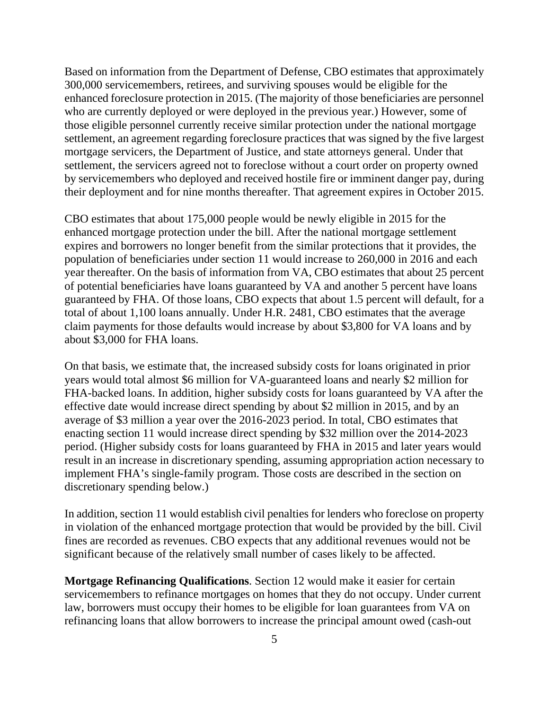Based on information from the Department of Defense, CBO estimates that approximately 300,000 servicemembers, retirees, and surviving spouses would be eligible for the enhanced foreclosure protection in 2015. (The majority of those beneficiaries are personnel who are currently deployed or were deployed in the previous year.) However, some of those eligible personnel currently receive similar protection under the national mortgage settlement, an agreement regarding foreclosure practices that was signed by the five largest mortgage servicers, the Department of Justice, and state attorneys general. Under that settlement, the servicers agreed not to foreclose without a court order on property owned by servicemembers who deployed and received hostile fire or imminent danger pay, during their deployment and for nine months thereafter. That agreement expires in October 2015.

CBO estimates that about 175,000 people would be newly eligible in 2015 for the enhanced mortgage protection under the bill. After the national mortgage settlement expires and borrowers no longer benefit from the similar protections that it provides, the population of beneficiaries under section 11 would increase to 260,000 in 2016 and each year thereafter. On the basis of information from VA, CBO estimates that about 25 percent of potential beneficiaries have loans guaranteed by VA and another 5 percent have loans guaranteed by FHA. Of those loans, CBO expects that about 1.5 percent will default, for a total of about 1,100 loans annually. Under H.R. 2481, CBO estimates that the average claim payments for those defaults would increase by about \$3,800 for VA loans and by about \$3,000 for FHA loans.

On that basis, we estimate that, the increased subsidy costs for loans originated in prior years would total almost \$6 million for VA-guaranteed loans and nearly \$2 million for FHA-backed loans. In addition, higher subsidy costs for loans guaranteed by VA after the effective date would increase direct spending by about \$2 million in 2015, and by an average of \$3 million a year over the 2016-2023 period. In total, CBO estimates that enacting section 11 would increase direct spending by \$32 million over the 2014-2023 period. (Higher subsidy costs for loans guaranteed by FHA in 2015 and later years would result in an increase in discretionary spending, assuming appropriation action necessary to implement FHA's single-family program. Those costs are described in the section on discretionary spending below.)

In addition, section 11 would establish civil penalties for lenders who foreclose on property in violation of the enhanced mortgage protection that would be provided by the bill. Civil fines are recorded as revenues. CBO expects that any additional revenues would not be significant because of the relatively small number of cases likely to be affected.

**Mortgage Refinancing Qualifications**. Section 12 would make it easier for certain servicemembers to refinance mortgages on homes that they do not occupy. Under current law, borrowers must occupy their homes to be eligible for loan guarantees from VA on refinancing loans that allow borrowers to increase the principal amount owed (cash-out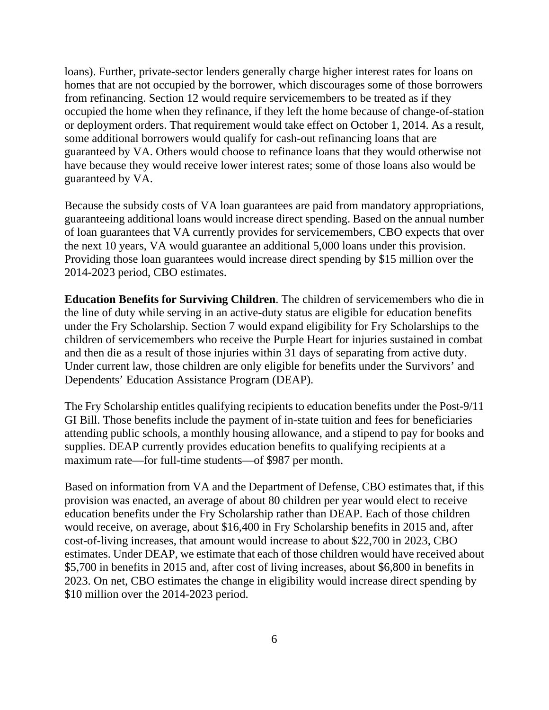loans). Further, private-sector lenders generally charge higher interest rates for loans on homes that are not occupied by the borrower, which discourages some of those borrowers from refinancing. Section 12 would require servicemembers to be treated as if they occupied the home when they refinance, if they left the home because of change-of-station or deployment orders. That requirement would take effect on October 1, 2014. As a result, some additional borrowers would qualify for cash-out refinancing loans that are guaranteed by VA. Others would choose to refinance loans that they would otherwise not have because they would receive lower interest rates; some of those loans also would be guaranteed by VA.

Because the subsidy costs of VA loan guarantees are paid from mandatory appropriations, guaranteeing additional loans would increase direct spending. Based on the annual number of loan guarantees that VA currently provides for servicemembers, CBO expects that over the next 10 years, VA would guarantee an additional 5,000 loans under this provision. Providing those loan guarantees would increase direct spending by \$15 million over the 2014-2023 period, CBO estimates.

**Education Benefits for Surviving Children**. The children of servicemembers who die in the line of duty while serving in an active-duty status are eligible for education benefits under the Fry Scholarship. Section 7 would expand eligibility for Fry Scholarships to the children of servicemembers who receive the Purple Heart for injuries sustained in combat and then die as a result of those injuries within 31 days of separating from active duty. Under current law, those children are only eligible for benefits under the Survivors' and Dependents' Education Assistance Program (DEAP).

The Fry Scholarship entitles qualifying recipients to education benefits under the Post-9/11 GI Bill. Those benefits include the payment of in-state tuition and fees for beneficiaries attending public schools, a monthly housing allowance, and a stipend to pay for books and supplies. DEAP currently provides education benefits to qualifying recipients at a maximum rate—for full-time students—of \$987 per month.

Based on information from VA and the Department of Defense, CBO estimates that, if this provision was enacted, an average of about 80 children per year would elect to receive education benefits under the Fry Scholarship rather than DEAP. Each of those children would receive, on average, about \$16,400 in Fry Scholarship benefits in 2015 and, after cost-of-living increases, that amount would increase to about \$22,700 in 2023, CBO estimates. Under DEAP, we estimate that each of those children would have received about \$5,700 in benefits in 2015 and, after cost of living increases, about \$6,800 in benefits in 2023. On net, CBO estimates the change in eligibility would increase direct spending by \$10 million over the 2014-2023 period.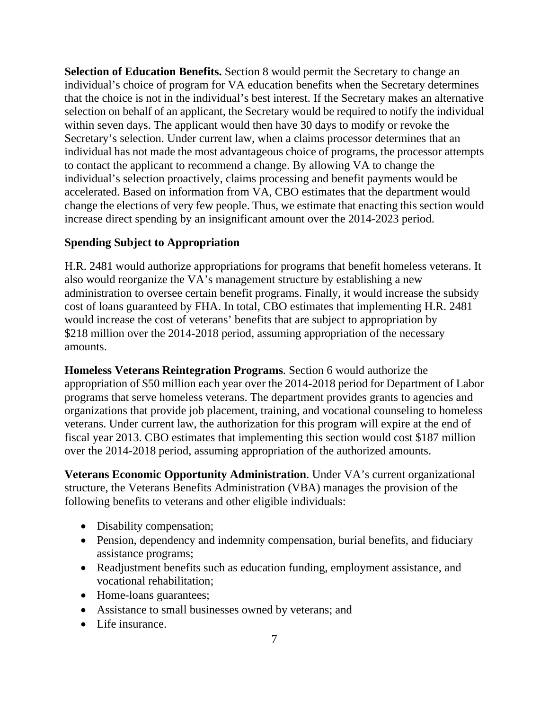**Selection of Education Benefits.** Section 8 would permit the Secretary to change an individual's choice of program for VA education benefits when the Secretary determines that the choice is not in the individual's best interest. If the Secretary makes an alternative selection on behalf of an applicant, the Secretary would be required to notify the individual within seven days. The applicant would then have 30 days to modify or revoke the Secretary's selection. Under current law, when a claims processor determines that an individual has not made the most advantageous choice of programs, the processor attempts to contact the applicant to recommend a change. By allowing VA to change the individual's selection proactively, claims processing and benefit payments would be accelerated. Based on information from VA, CBO estimates that the department would change the elections of very few people. Thus, we estimate that enacting this section would increase direct spending by an insignificant amount over the 2014-2023 period.

### **Spending Subject to Appropriation**

H.R. 2481 would authorize appropriations for programs that benefit homeless veterans. It also would reorganize the VA's management structure by establishing a new administration to oversee certain benefit programs. Finally, it would increase the subsidy cost of loans guaranteed by FHA. In total, CBO estimates that implementing H.R. 2481 would increase the cost of veterans' benefits that are subject to appropriation by \$218 million over the 2014-2018 period, assuming appropriation of the necessary amounts.

**Homeless Veterans Reintegration Programs**. Section 6 would authorize the appropriation of \$50 million each year over the 2014-2018 period for Department of Labor programs that serve homeless veterans. The department provides grants to agencies and organizations that provide job placement, training, and vocational counseling to homeless veterans. Under current law, the authorization for this program will expire at the end of fiscal year 2013. CBO estimates that implementing this section would cost \$187 million over the 2014-2018 period, assuming appropriation of the authorized amounts.

**Veterans Economic Opportunity Administration**. Under VA's current organizational structure, the Veterans Benefits Administration (VBA) manages the provision of the following benefits to veterans and other eligible individuals:

- Disability compensation;
- Pension, dependency and indemnity compensation, burial benefits, and fiduciary assistance programs;
- Readjustment benefits such as education funding, employment assistance, and vocational rehabilitation;
- Home-loans guarantees;
- Assistance to small businesses owned by veterans; and
- Life insurance.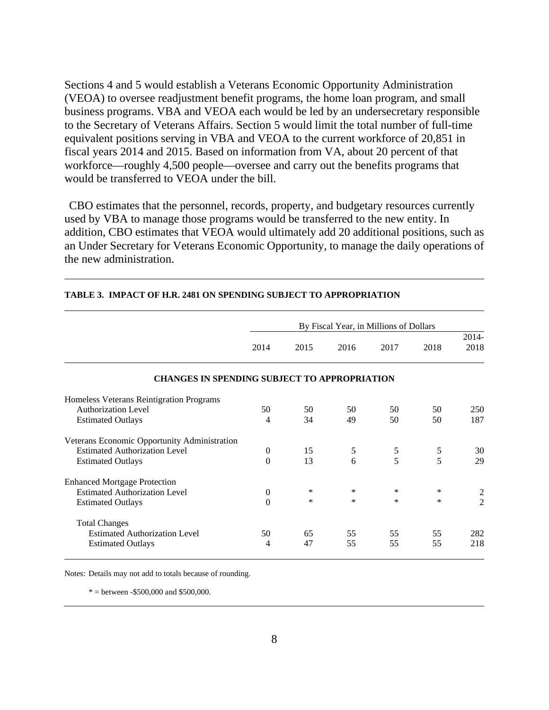Sections 4 and 5 would establish a Veterans Economic Opportunity Administration (VEOA) to oversee readjustment benefit programs, the home loan program, and small business programs. VBA and VEOA each would be led by an undersecretary responsible to the Secretary of Veterans Affairs. Section 5 would limit the total number of full-time equivalent positions serving in VBA and VEOA to the current workforce of 20,851 in fiscal years 2014 and 2015. Based on information from VA, about 20 percent of that workforce—roughly 4,500 people—oversee and carry out the benefits programs that would be transferred to VEOA under the bill.

 CBO estimates that the personnel, records, property, and budgetary resources currently used by VBA to manage those programs would be transferred to the new entity. In addition, CBO estimates that VEOA would ultimately add 20 additional positions, such as an Under Secretary for Veterans Economic Opportunity, to manage the daily operations of the new administration.

|                                                     | By Fiscal Year, in Millions of Dollars |        |            |        |        |                  |  |  |  |
|-----------------------------------------------------|----------------------------------------|--------|------------|--------|--------|------------------|--|--|--|
|                                                     | 2014                                   | 2015   | 2016       | 2017   | 2018   | $2014 -$<br>2018 |  |  |  |
| <b>CHANGES IN SPENDING SUBJECT TO APPROPRIATION</b> |                                        |        |            |        |        |                  |  |  |  |
| Homeless Veterans Reintigration Programs            |                                        |        |            |        |        |                  |  |  |  |
| <b>Authorization Level</b>                          | 50                                     | 50     | 50         | 50     | 50     | 250              |  |  |  |
| <b>Estimated Outlays</b>                            | 4                                      | 34     | 49         | 50     | 50     | 187              |  |  |  |
| Veterans Economic Opportunity Administration        |                                        |        |            |        |        |                  |  |  |  |
| <b>Estimated Authorization Level</b>                | $\boldsymbol{0}$                       | 15     | $\sqrt{5}$ | 5      | 5      | 30               |  |  |  |
| <b>Estimated Outlays</b>                            | $\Omega$                               | 13     | 6          | 5      | 5      | 29               |  |  |  |
| <b>Enhanced Mortgage Protection</b>                 |                                        |        |            |        |        |                  |  |  |  |
| <b>Estimated Authorization Level</b>                | $\mathbf{0}$                           | $\ast$ | *          | $\ast$ | ∗      | $\overline{2}$   |  |  |  |
| <b>Estimated Outlays</b>                            | $\boldsymbol{0}$                       | $\ast$ | $\ast$     | $\ast$ | $\ast$ | $\overline{2}$   |  |  |  |
| <b>Total Changes</b>                                |                                        |        |            |        |        |                  |  |  |  |
| <b>Estimated Authorization Level</b>                | 50                                     | 65     | 55         | 55     | 55     | 282              |  |  |  |
| <b>Estimated Outlays</b>                            | 4                                      | 47     | 55         | 55     | 55     | 218              |  |  |  |

#### **TABLE 3. IMPACT OF H.R. 2481 ON SPENDING SUBJECT TO APPROPRIATION**

Notes: Details may not add to totals because of rounding.

 $* =$  between -\$500,000 and \$500,000.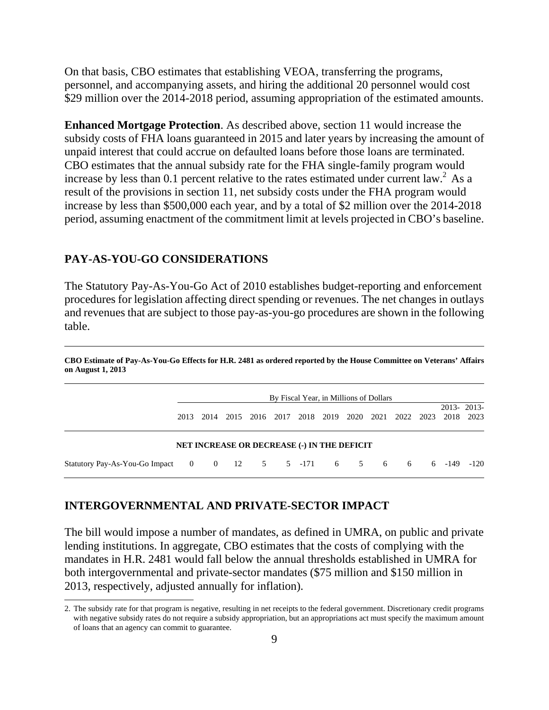On that basis, CBO estimates that establishing VEOA, transferring the programs, personnel, and accompanying assets, and hiring the additional 20 personnel would cost \$29 million over the 2014-2018 period, assuming appropriation of the estimated amounts.

**Enhanced Mortgage Protection**. As described above, section 11 would increase the subsidy costs of FHA loans guaranteed in 2015 and later years by increasing the amount of unpaid interest that could accrue on defaulted loans before those loans are terminated. CBO estimates that the annual subsidy rate for the FHA single-family program would increase by less than 0.1 percent relative to the rates estimated under current law.<sup>2</sup> As a result of the provisions in section 11, net subsidy costs under the FHA program would increase by less than \$500,000 each year, and by a total of \$2 million over the 2014-2018 period, assuming enactment of the commitment limit at levels projected in CBO's baseline.

### **PAY-AS-YOU-GO CONSIDERATIONS**

 $\overline{a}$ 

The Statutory Pay-As-You-Go Act of 2010 establishes budget-reporting and enforcement procedures for legislation affecting direct spending or revenues. The net changes in outlays and revenues that are subject to those pay-as-you-go procedures are shown in the following table.

**CBO Estimate of Pay-As-You-Go Effects for H.R. 2481 as ordered reported by the House Committee on Veterans' Affairs on August 1, 2013** 

|                                                               |           |  |  | By Fiscal Year, in Millions of Dollars             |  |                                                                      |        |
|---------------------------------------------------------------|-----------|--|--|----------------------------------------------------|--|----------------------------------------------------------------------|--------|
|                                                               | 2013 2014 |  |  |                                                    |  | 2013-2013-<br>2015 2016 2017 2018 2019 2020 2021 2022 2023 2018 2023 |        |
|                                                               |           |  |  | <b>NET INCREASE OR DECREASE (-) IN THE DEFICIT</b> |  |                                                                      |        |
| Statutory Pay-As-You-Go Impact 0 0 12 5 5 -171 6 5 6 6 6 -149 |           |  |  |                                                    |  |                                                                      | $-120$ |

#### **INTERGOVERNMENTAL AND PRIVATE-SECTOR IMPACT**

The bill would impose a number of mandates, as defined in UMRA, on public and private lending institutions. In aggregate, CBO estimates that the costs of complying with the mandates in H.R. 2481 would fall below the annual thresholds established in UMRA for both intergovernmental and private-sector mandates (\$75 million and \$150 million in 2013, respectively, adjusted annually for inflation).

<sup>2.</sup> The subsidy rate for that program is negative, resulting in net receipts to the federal government. Discretionary credit programs with negative subsidy rates do not require a subsidy appropriation, but an appropriations act must specify the maximum amount of loans that an agency can commit to guarantee.